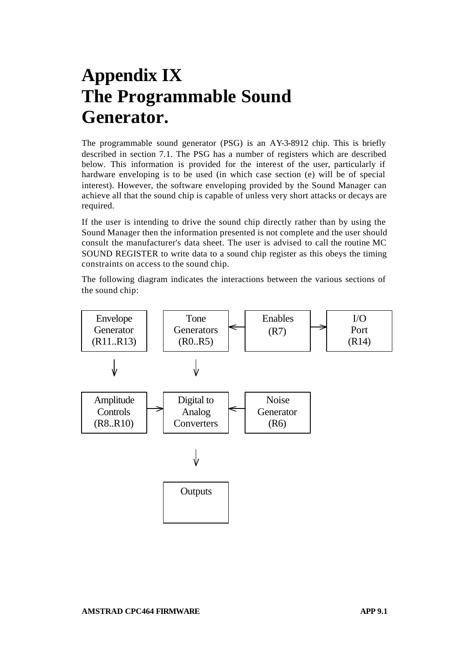# **Appendix IX The Programmable Sound Generator.**

The programmable sound generator (PSG) is an AY-3-8912 chip. This is briefly described in section 7.1. The PSG has a number of registers which are described below. This information is provided for the interest of the user, particularly if hardware enveloping is to be used (in which case section (e) will be of special interest). However, the software enveloping provided by the Sound Manager can achieve all that the sound chip is capable of unless very short attacks or decays are required.

If the user is intending to drive the sound chip directly rather than by using the Sound Manager then the information presented is not complete and the user should consult the manufacturer's data sheet. The user is advised to call the routine MC SOUND REGISTER to write data to a sound chip register as this obeys the timing constraints on access to the sound chip.

The following diagram indicates the interactions between the various sections of the sound chip:

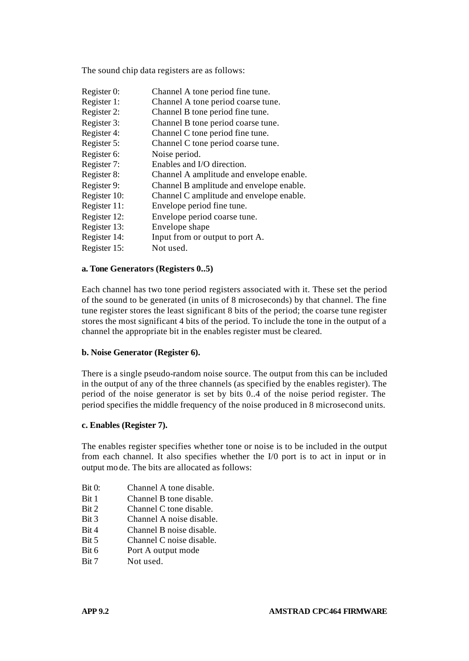The sound chip data registers are as follows:

Register 0: Channel A tone period fine tune. Register 1: Channel A tone period coarse tune. Register 2: Channel B tone period fine tune. Register 3: Channel B tone period coarse tune. Register 4: Channel C tone period fine tune. Register 5: Channel C tone period coarse tune. Register 6: Noise period. Register 7: Enables and I/O direction. Register 8: Channel A amplitude and envelope enable. Register 9: Channel B amplitude and envelope enable. Register 10: Channel C amplitude and envelope enable. Register 11: Envelope period fine tune. Register 12: Envelope period coarse tune. Register 13: Envelope shape Register 14: Input from or output to port A. Register 15: Not used.

# **a. Tone Generators (Registers 0..5)**

Each channel has two tone period registers associated with it. These set the period of the sound to be generated (in units of 8 microseconds) by that channel. The fine tune register stores the least significant 8 bits of the period; the coarse tune register stores the most significant 4 bits of the period. To include the tone in the output of a channel the appropriate bit in the enables register must be cleared.

#### **b. Noise Generator (Register 6).**

There is a single pseudo-random noise source. The output from this can be included in the output of any of the three channels (as specified by the enables register). The period of the noise generator is set by bits 0..4 of the noise period register. The period specifies the middle frequency of the noise produced in 8 microsecond units.

#### **c. Enables (Register 7).**

The enables register specifies whether tone or noise is to be included in the output from each channel. It also specifies whether the I/0 port is to act in input or in output mo de. The bits are allocated as follows:

- Bit 0: Channel A tone disable.
- Bit 1 Channel B tone disable.
- Bit 2 Channel C tone disable.
- Bit 3 Channel A noise disable.
- Bit 4 Channel B noise disable.
- Bit 5 Channel C noise disable.
- Bit 6 Port A output mode
- Bit 7 Not used.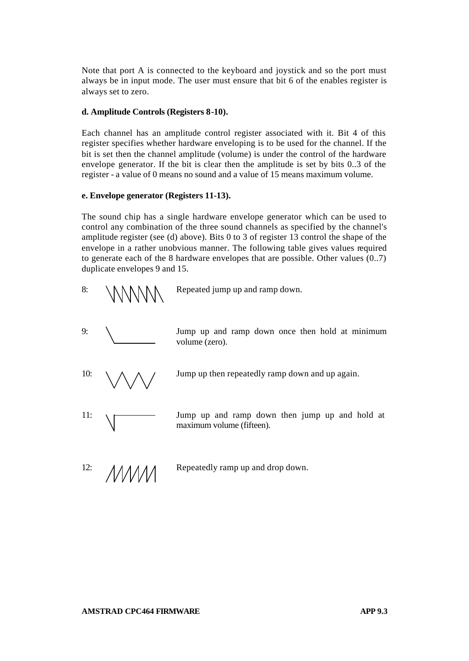Note that port A is connected to the keyboard and joystick and so the port must always be in input mode. The user must ensure that bit 6 of the enables register is always set to zero.

## **d. Amplitude Controls (Registers 8-10).**

Each channel has an amplitude control register associated with it. Bit 4 of this register specifies whether hardware enveloping is to be used for the channel. If the bit is set then the channel amplitude (volume) is under the control of the hardware envelope generator. If the bit is clear then the amplitude is set by bits 0..3 of the register - a value of 0 means no sound and a value of 15 means maximum volume.

## **e. Envelope generator (Registers 11-13).**

The sound chip has a single hardware envelope generator which can be used to control any combination of the three sound channels as specified by the channel's amplitude register (see (d) above). Bits 0 to 3 of register 13 control the shape of the envelope in a rather unobvious manner. The following table gives values required to generate each of the 8 hardware envelopes that are possible. Other values (0..7) duplicate envelopes 9 and 15.



9: Jump up and ramp down once then hold at minimum volume (zero).

10:  $\wedge \wedge \wedge$  / Jump up then repeatedly ramp down and up again.

11:  $\sqrt{ }$  Jump up and ramp down then jump up and hold at maximum volume (fifteen).

12:  $\triangle M$  Repeatedly ramp up and drop down.